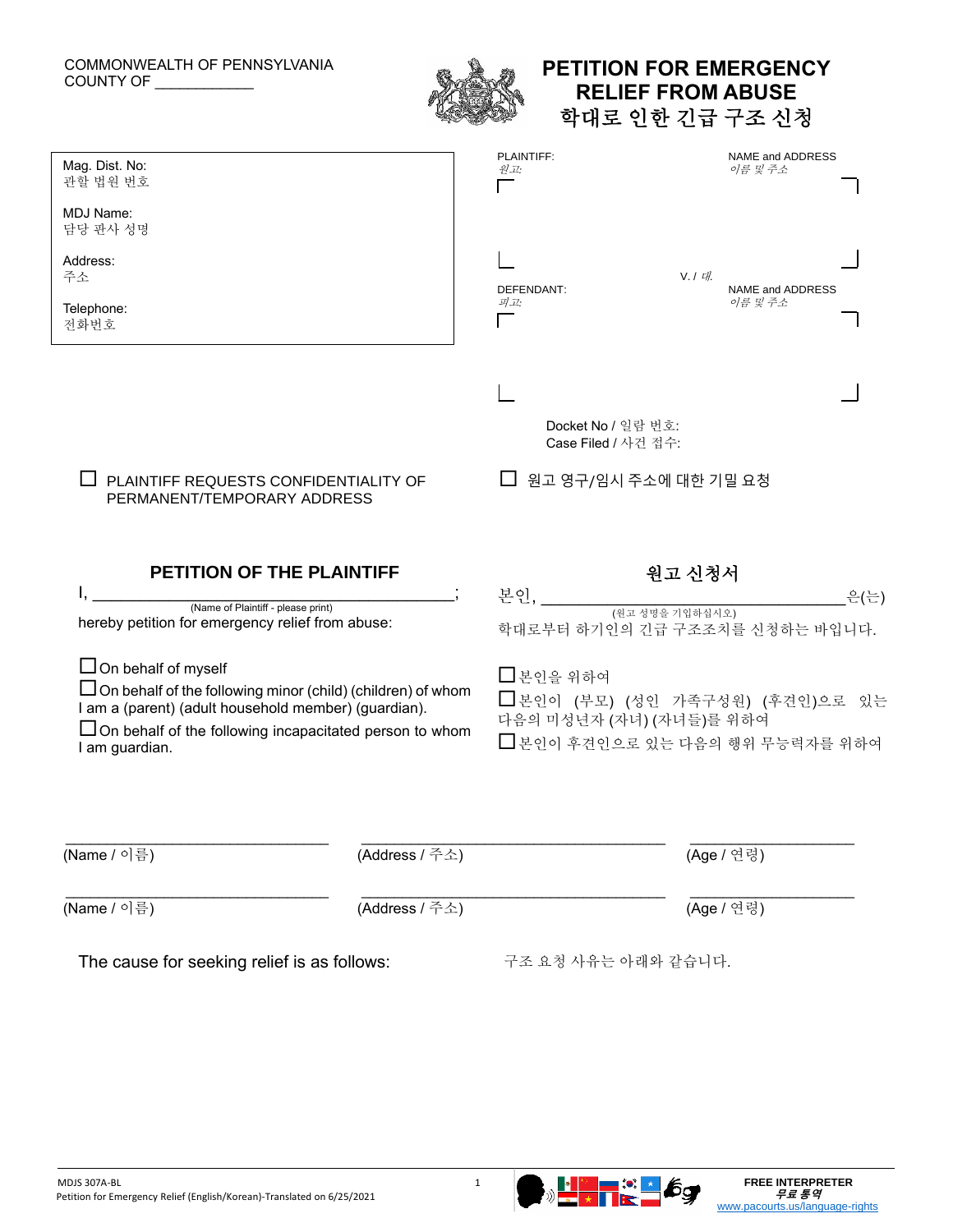## COMMONWEALTH OF PENNSYLVANIA COUNTY OF \_\_\_\_\_\_\_\_\_\_\_



## **PETITION FOR EMERGENCY RELIEF FROM ABUSE** 학대로 인한 긴급 구조 신청

| Mag. Dist. No:<br>관할 법원 번호                                                                                                                                                                                                                   | PLAINTIFF:<br>NAME and ADDRESS<br>이름 및 주소<br>원고:                                                             |       |
|----------------------------------------------------------------------------------------------------------------------------------------------------------------------------------------------------------------------------------------------|--------------------------------------------------------------------------------------------------------------|-------|
| MDJ Name:<br>담당 판사 성명                                                                                                                                                                                                                        |                                                                                                              |       |
| Address:<br>주소                                                                                                                                                                                                                               | $V \mid U$<br>NAME and ADDRESS<br>DEFENDANT:                                                                 |       |
| Telephone:<br>전화번호                                                                                                                                                                                                                           | 피고:<br>이름 및 주소                                                                                               |       |
| PLAINTIFF REQUESTS CONFIDENTIALITY OF<br>PERMANENT/TEMPORARY ADDRESS                                                                                                                                                                         | Docket No / 일람 번호:<br>Case Filed / 사건 접수:<br>□ 원고 영구/임시 주소에 대한 기밀 요청                                         |       |
|                                                                                                                                                                                                                                              |                                                                                                              |       |
| PETITION OF THE PLAINTIFF                                                                                                                                                                                                                    | 원고 신청서                                                                                                       |       |
| (Name of Plaintiff - please print)<br>hereby petition for emergency relief from abuse:                                                                                                                                                       | 본인,<br>학대로부터 하기인의 긴급 구조조치를 신청하는 바입니다.                                                                        | _은(는) |
| $\Box$ On behalf of myself<br>$\Box$ On behalf of the following minor (child) (children) of whom<br>I am a (parent) (adult household member) (guardian).<br>$\Box$ On behalf of the following incapacitated person to whom<br>I am guardian. | □ 본인을 위하여<br>□ 본인이 (부모) (성인 가족구성원) (후견인)으로 있는<br>다음의 미성년자 (자녀) (자녀들)를 위하여<br>□ 본인이 후견인으로 있는 다음의 행위 무능력자를 위하여 |       |
| (Name / 이름)<br>(Address / 주소)                                                                                                                                                                                                                | (Age / 연령)                                                                                                   |       |

The cause for seeking relief is as follows: 구조 요청 사유는 아래와 같습니다.